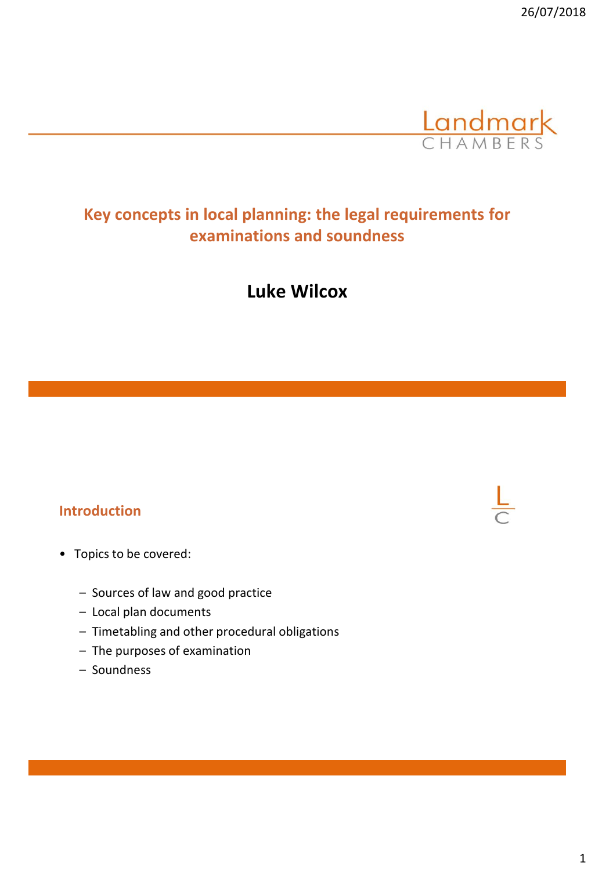

# **Key concepts in local planning: the legal requirements for examinations and soundness**

**Luke Wilcox**

## **Introduction**

- Topics to be covered:
	- Sources of law and good practice
	- Local plan documents
	- Timetabling and other procedural obligations
	- The purposes of examination
	- Soundness

#### 1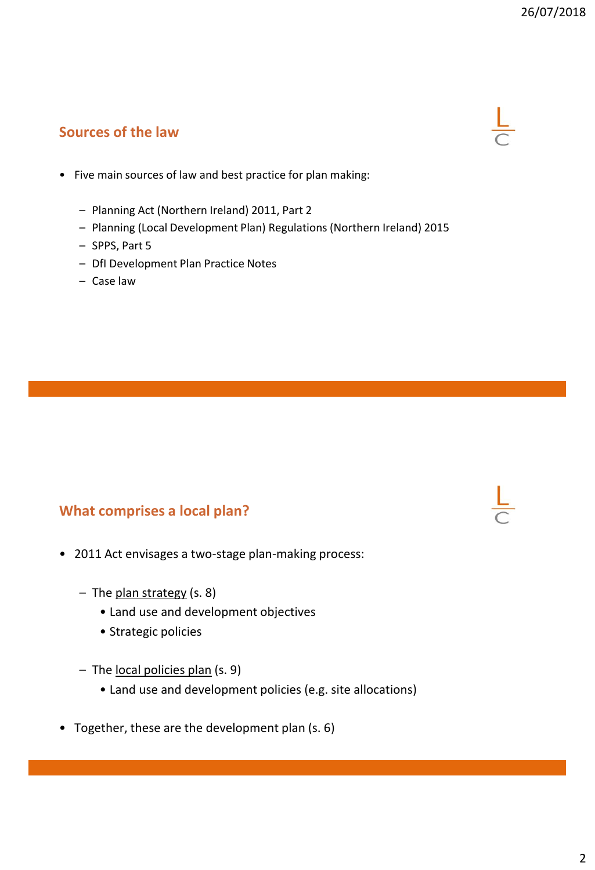## **Sources of the law**

- Five main sources of law and best practice for plan making:
	- Planning Act (Northern Ireland) 2011, Part 2
	- Planning (Local Development Plan) Regulations (Northern Ireland) 2015
	- SPPS, Part 5
	- DfI Development Plan Practice Notes
	- Case law

## **What comprises a local plan?**

- 2011 Act envisages a two-stage plan-making process:
	- The plan strategy (s. 8)
		- Land use and development objectives
		- Strategic policies
	- The local policies plan (s. 9)
		- Land use and development policies (e.g. site allocations)
- Together, these are the development plan (s. 6)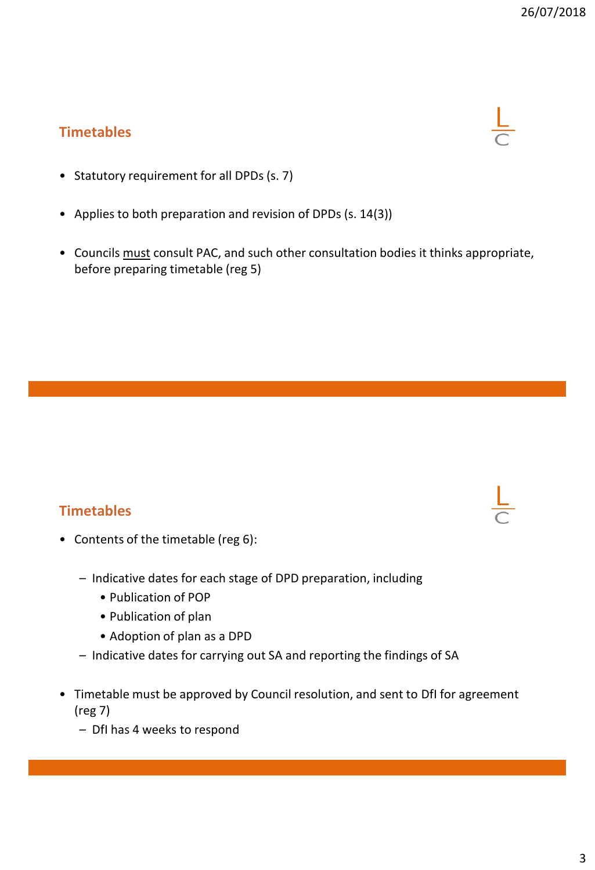## **Timetables**



- Statutory requirement for all DPDs (s. 7)
- Applies to both preparation and revision of DPDs (s. 14(3))
- Councils must consult PAC, and such other consultation bodies it thinks appropriate, before preparing timetable (reg 5)

## **Timetables**



- Contents of the timetable (reg 6):
	- Indicative dates for each stage of DPD preparation, including
		- Publication of POP
		- Publication of plan
		- Adoption of plan as a DPD
	- Indicative dates for carrying out SA and reporting the findings of SA
- Timetable must be approved by Council resolution, and sent to DfI for agreement (reg 7)
	- DfI has 4 weeks to respond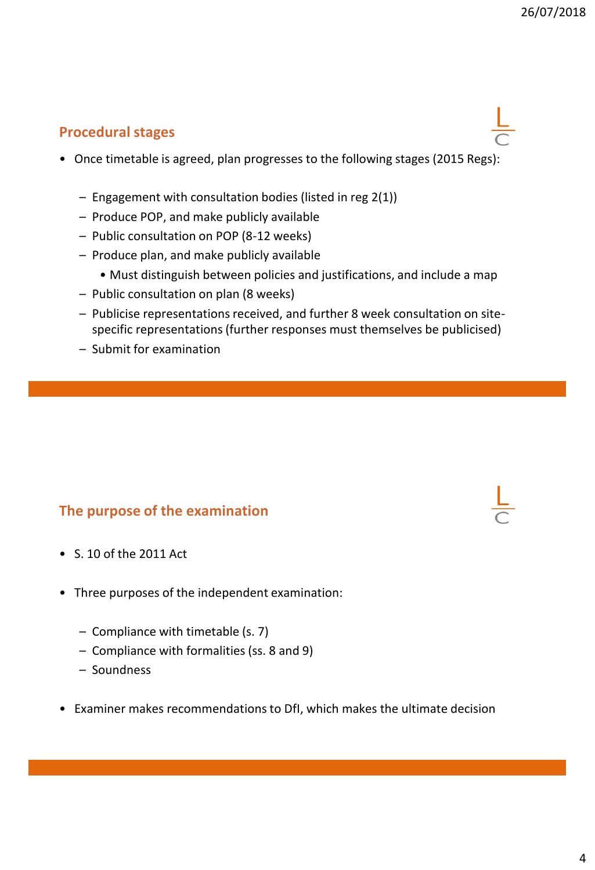## **Procedural stages**

- Once timetable is agreed, plan progresses to the following stages (2015 Regs):
	- Engagement with consultation bodies (listed in reg 2(1))
	- Produce POP, and make publicly available
	- Public consultation on POP (8-12 weeks)
	- Produce plan, and make publicly available
		- Must distinguish between policies and justifications, and include a map
	- Public consultation on plan (8 weeks)
	- Publicise representations received, and further 8 week consultation on sitespecific representations (further responses must themselves be publicised)
	- Submit for examination

## **The purpose of the examination**

- S. 10 of the 2011 Act
- Three purposes of the independent examination:
	- Compliance with timetable (s. 7)
	- Compliance with formalities (ss. 8 and 9)
	- Soundness
- Examiner makes recommendations to DfI, which makes the ultimate decision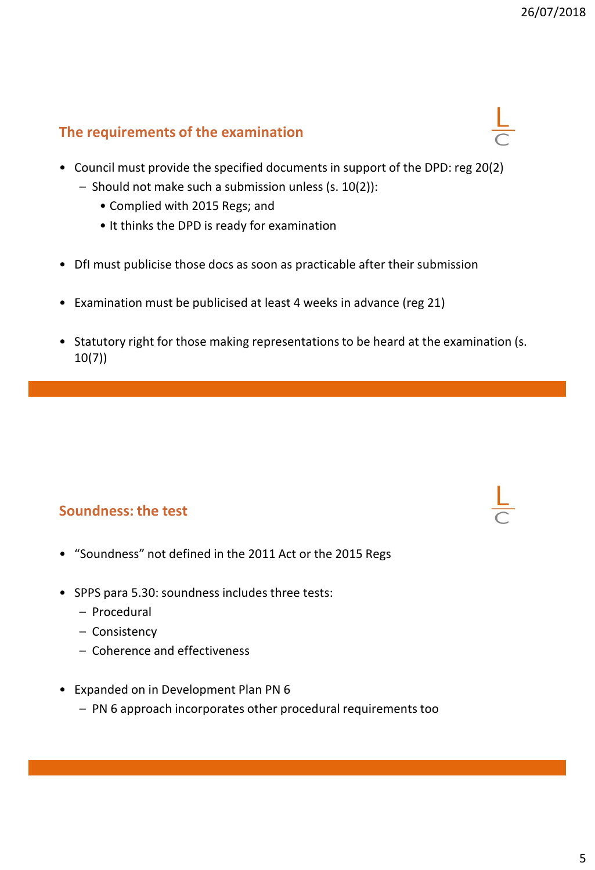## **The requirements of the examination**

- Council must provide the specified documents in support of the DPD: reg 20(2)
	- Should not make such a submission unless (s. 10(2)):
		- Complied with 2015 Regs; and
		- It thinks the DPD is ready for examination
- DfI must publicise those docs as soon as practicable after their submission
- Examination must be publicised at least 4 weeks in advance (reg 21)
- Statutory right for those making representations to be heard at the examination (s. 10(7))

## **Soundness: the test**

- "Soundness" not defined in the 2011 Act or the 2015 Regs
- SPPS para 5.30: soundness includes three tests:
	- Procedural
	- Consistency
	- Coherence and effectiveness
- Expanded on in Development Plan PN 6
	- PN 6 approach incorporates other procedural requirements too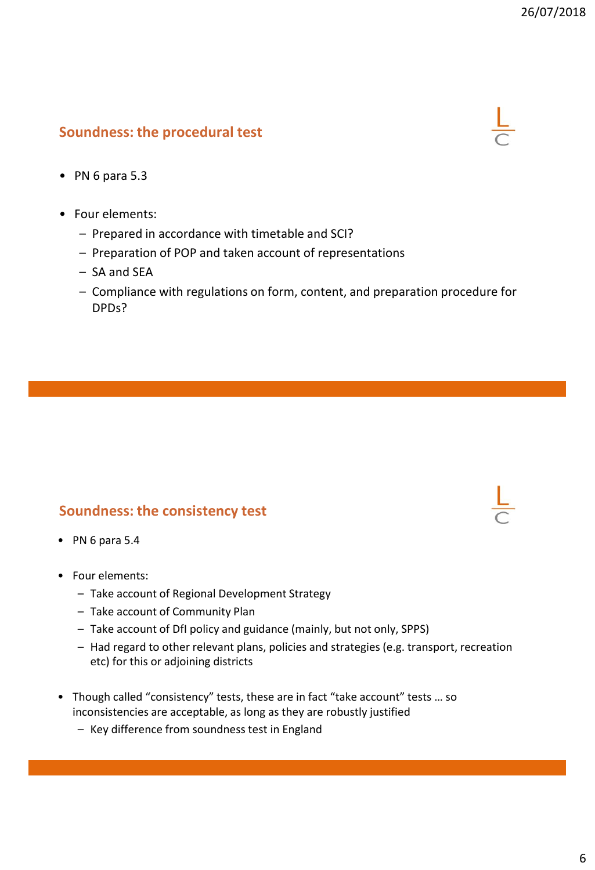## **Soundness: the procedural test**



- PN 6 para 5.3
- Four elements:
	- Prepared in accordance with timetable and SCI?
	- Preparation of POP and taken account of representations
	- SA and SEA
	- Compliance with regulations on form, content, and preparation procedure for DPDs?

## **Soundness: the consistency test**

- PN 6 para 5.4
- Four elements:
	- Take account of Regional Development Strategy
	- Take account of Community Plan
	- Take account of DfI policy and guidance (mainly, but not only, SPPS)
	- Had regard to other relevant plans, policies and strategies (e.g. transport, recreation etc) for this or adjoining districts
- Though called "consistency" tests, these are in fact "take account" tests … so inconsistencies are acceptable, as long as they are robustly justified
	- Key difference from soundness test in England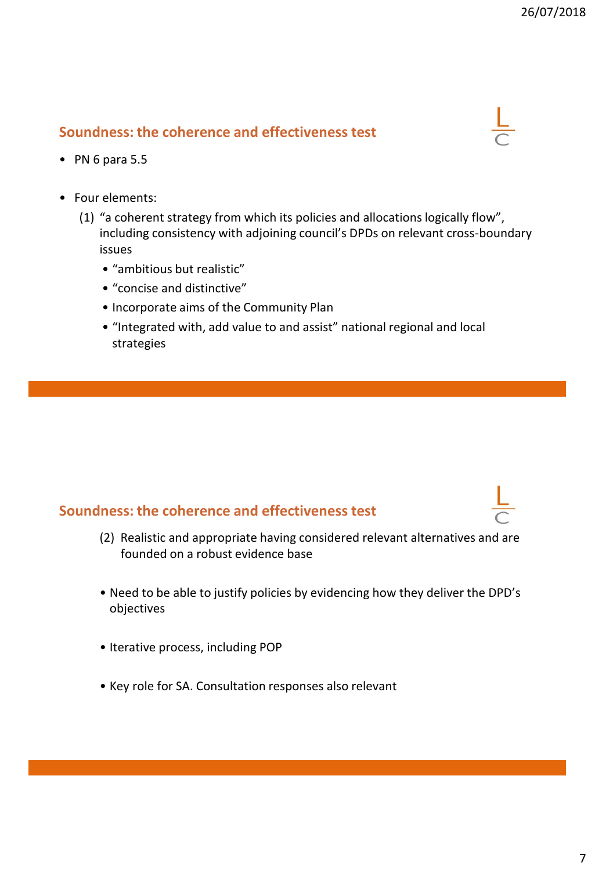## **Soundness: the coherence and effectiveness test**



- PN 6 para 5.5
- Four elements:
	- (1) "a coherent strategy from which its policies and allocations logically flow", including consistency with adjoining council's DPDs on relevant cross-boundary issues
		- "ambitious but realistic"
		- "concise and distinctive"
		- Incorporate aims of the Community Plan
		- "Integrated with, add value to and assist" national regional and local strategies

## **Soundness: the coherence and effectiveness test**

- (2) Realistic and appropriate having considered relevant alternatives and are founded on a robust evidence base
- Need to be able to justify policies by evidencing how they deliver the DPD's objectives
- Iterative process, including POP
- Key role for SA. Consultation responses also relevant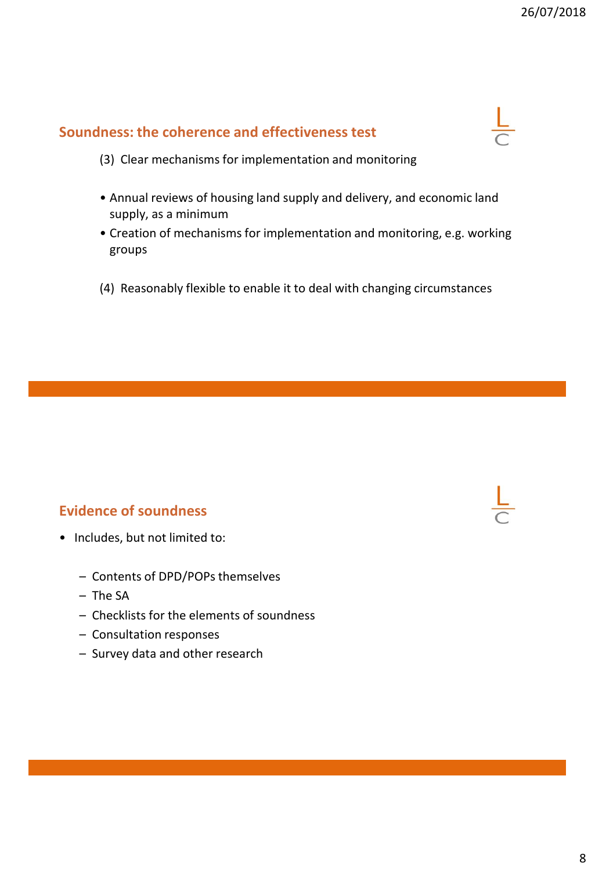## **Soundness: the coherence and effectiveness test**



- (3) Clear mechanisms for implementation and monitoring
- Annual reviews of housing land supply and delivery, and economic land supply, as a minimum
- Creation of mechanisms for implementation and monitoring, e.g. working groups
- (4) Reasonably flexible to enable it to deal with changing circumstances

## **Evidence of soundness**

- Includes, but not limited to:
	- Contents of DPD/POPs themselves
	- The SA
	- Checklists for the elements of soundness
	- Consultation responses
	- Survey data and other research